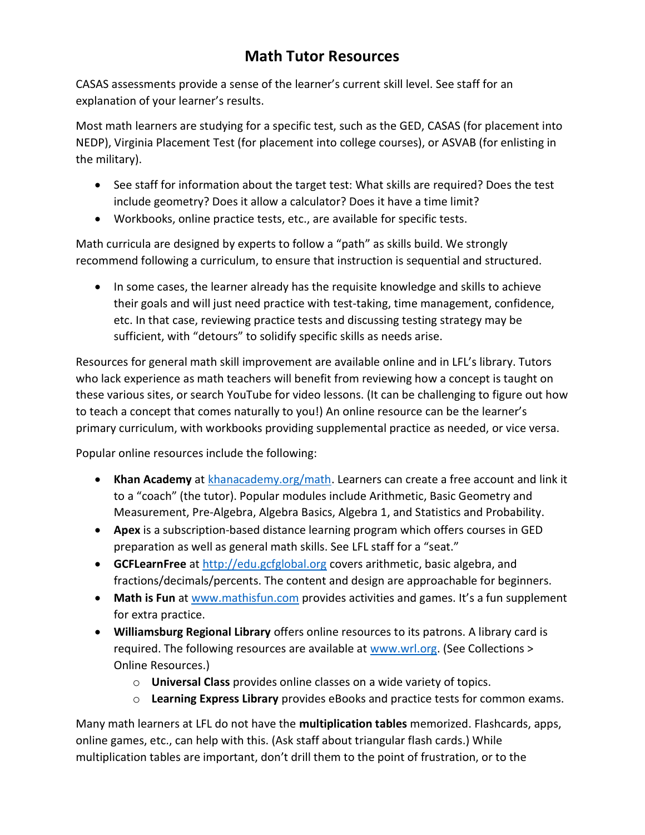## Math Tutor Resources

CASAS assessments provide a sense of the learner's current skill level. See staff for an explanation of your learner's results.

Most math learners are studying for a specific test, such as the GED, CASAS (for placement into NEDP), Virginia Placement Test (for placement into college courses), or ASVAB (for enlisting in the military).

- See staff for information about the target test: What skills are required? Does the test include geometry? Does it allow a calculator? Does it have a time limit?
- Workbooks, online practice tests, etc., are available for specific tests.

Math curricula are designed by experts to follow a "path" as skills build. We strongly recommend following a curriculum, to ensure that instruction is sequential and structured.

• In some cases, the learner already has the requisite knowledge and skills to achieve their goals and will just need practice with test-taking, time management, confidence, etc. In that case, reviewing practice tests and discussing testing strategy may be sufficient, with "detours" to solidify specific skills as needs arise.

Resources for general math skill improvement are available online and in LFL's library. Tutors who lack experience as math teachers will benefit from reviewing how a concept is taught on these various sites, or search YouTube for video lessons. (It can be challenging to figure out how to teach a concept that comes naturally to you!) An online resource can be the learner's primary curriculum, with workbooks providing supplemental practice as needed, or vice versa.

Popular online resources include the following:

- Khan Academy at khanacademy.org/math. Learners can create a free account and link it to a "coach" (the tutor). Popular modules include Arithmetic, Basic Geometry and Measurement, Pre-Algebra, Algebra Basics, Algebra 1, and Statistics and Probability.
- Apex is a subscription-based distance learning program which offers courses in GED preparation as well as general math skills. See LFL staff for a "seat."
- **GCFLearnFree** at http://edu.gcfglobal.org covers arithmetic, basic algebra, and fractions/decimals/percents. The content and design are approachable for beginners.
- Math is Fun at www.mathisfun.com provides activities and games. It's a fun supplement for extra practice.
- Williamsburg Regional Library offers online resources to its patrons. A library card is required. The following resources are available at www.wrl.org. (See Collections > Online Resources.)
	- $\circ$  Universal Class provides online classes on a wide variety of topics.
	- $\circ$  Learning Express Library provides eBooks and practice tests for common exams.

Many math learners at LFL do not have the multiplication tables memorized. Flashcards, apps, online games, etc., can help with this. (Ask staff about triangular flash cards.) While multiplication tables are important, don't drill them to the point of frustration, or to the